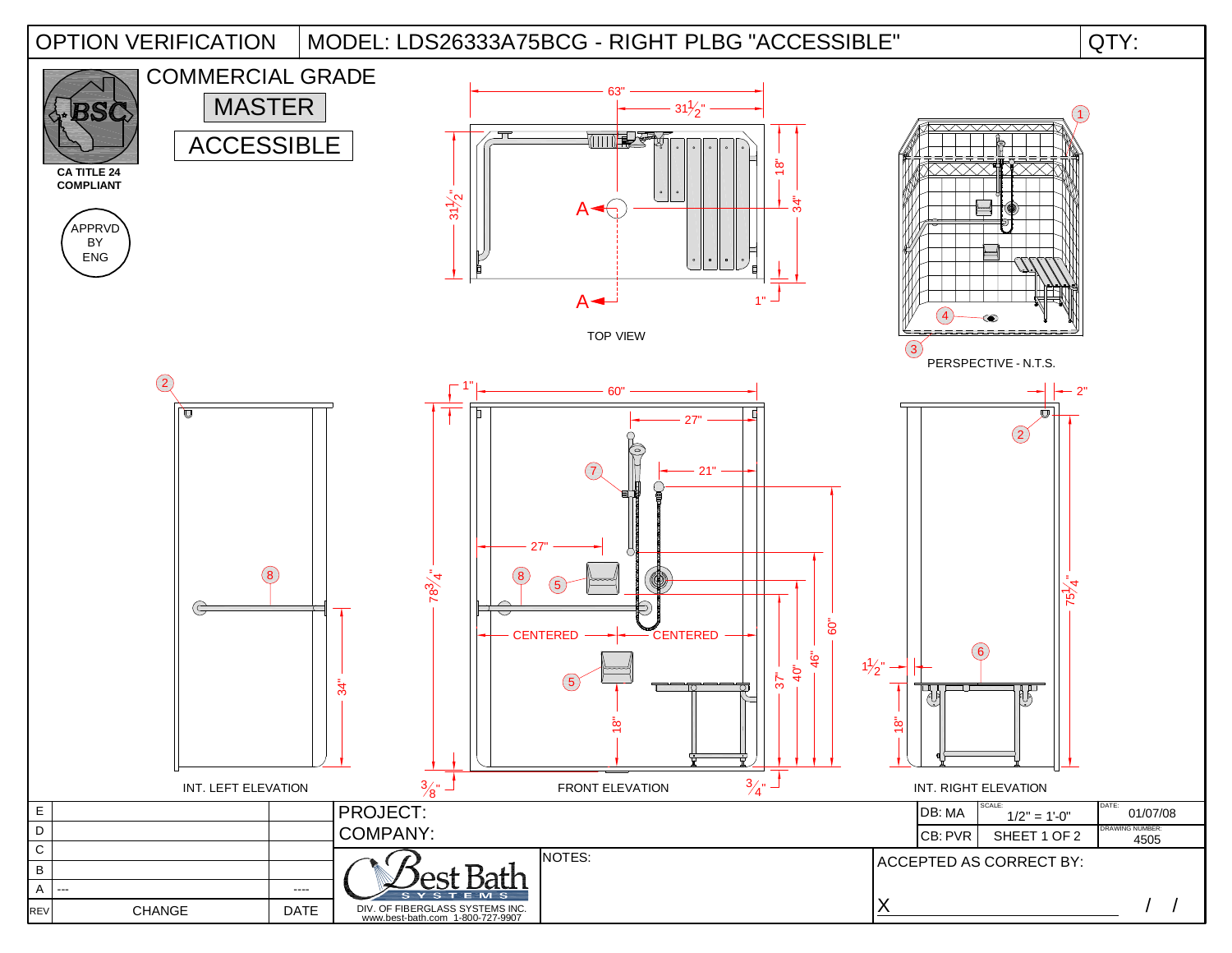